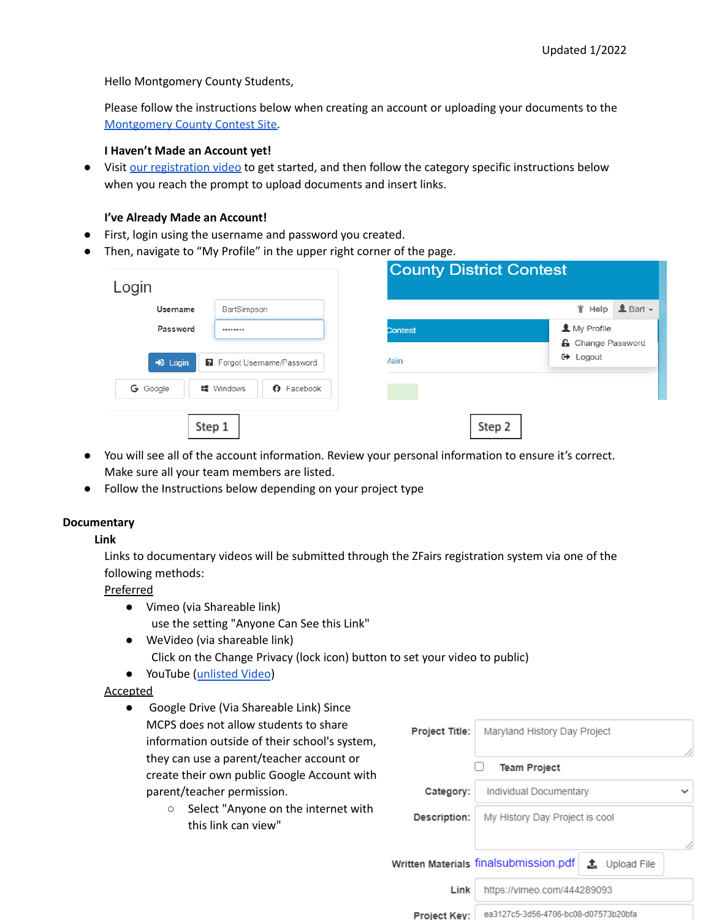Hello Montgomery County Students,

Please follow the instructions below when creating an account or uploading your documents to the [Montgomery](https://md-mcdc.nhd.org/) County Contest Site.

#### **I Haven't Made an Account yet!**

● Visit our [registration](https://youtu.be/OfY2h-21xN8) video to get started, and then follow the category specific instructions below when you reach the prompt to upload documents and insert links.

#### **I've Already Made an Account!**

- First, login using the username and password you created.
- Then, navigate to "My Profile" in the upper right corner of the page.

| Username                                                                      | BartSimpson                           |                | <del>I</del> f Help <u>L</u> Bart <del>v</del> |
|-------------------------------------------------------------------------------|---------------------------------------|----------------|------------------------------------------------|
| Password<br><br>$\bigtriangledown$ Login<br><b>2</b> Forgot Username/Password |                                       | <b>Contest</b> | A My Profile<br><b>A</b> Change Password       |
|                                                                               |                                       | <b>Aain</b>    | $\leftrightarrow$ Logout                       |
| G Google                                                                      | <b>■</b> Windows<br><b>O</b> Facebook |                |                                                |

- You will see all of the account information. Review your personal information to ensure it's correct. Make sure all your team members are listed.
- Follow the Instructions below depending on your project type

## **Documentary**

## **Link**

Links to documentary videos will be submitted through the ZFairs registration system via one of the following methods:

Preferred

- Vimeo (via Shareable link) use the setting "Anyone Can See this Link"
- WeVideo (via shareable link) Click on the Change Privacy (lock icon) button to set your video to public)
- YouTube ([unlisted](https://support.google.com/youtube/answer/157177?hl=en&co=GENIE.Platform%3DDesktop#zippy=%2Cunlisted-videos) Video)

## Accepted

- Google Drive (Via Shareable Link) Since MCPS does not allow students to share information outside of their school's system, they can use a parent/teacher account or create their own public Google Account with parent/teacher permission.
	- Select "Anyone on the internet with this link can view"

| Project Title: | Maryland History Day Project                                   |  |
|----------------|----------------------------------------------------------------|--|
|                | <b>Team Project</b>                                            |  |
| Category:      | Individual Documentary                                         |  |
| Description:   | My History Day Project is cool                                 |  |
|                | Written Materials finalsubmission.pdf<br>$\bullet$ Upload File |  |
| Link           | https://vimeo.com/444289093                                    |  |
| Project Key:   | ea3127c5-3d56-4706-bc08-d07573b20bfa                           |  |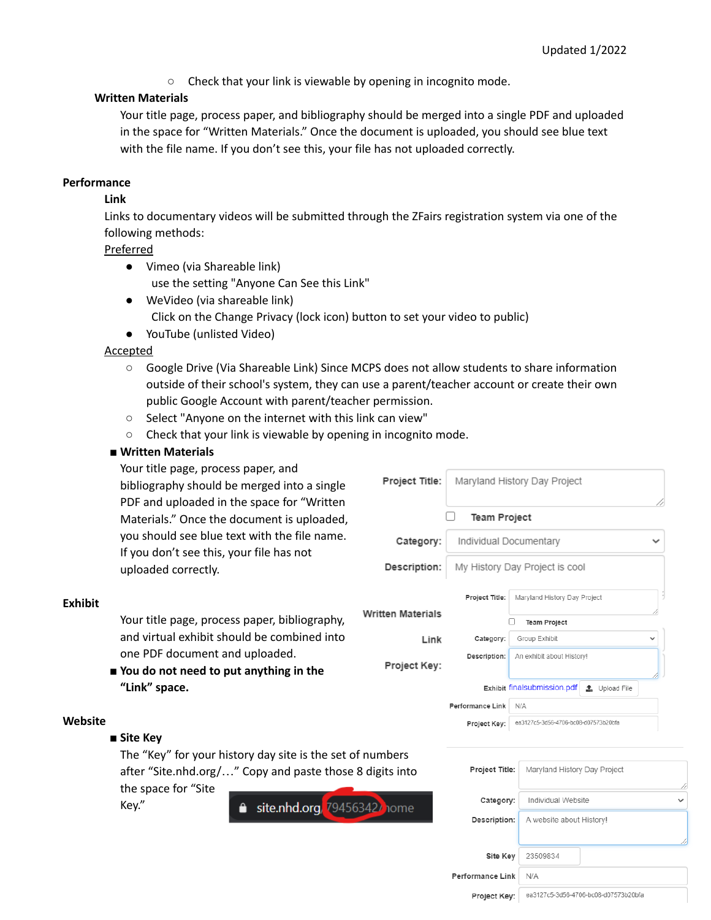○ Check that your link is viewable by opening in incognito mode.

## **Written Materials**

Your title page, process paper, and bibliography should be merged into a single PDF and uploaded in the space for "Written Materials." Once the document is uploaded, you should see blue text with the file name. If you don't see this, your file has not uploaded correctly.

### **Performance**

#### **Link**

Links to documentary videos will be submitted through the ZFairs registration system via one of the following methods:

#### Preferred

- Vimeo (via Shareable link) use the setting "Anyone Can See this Link"
- WeVideo (via shareable link) Click on the Change Privacy (lock icon) button to set your video to public)
- YouTube (unlisted Video)

## **Accepted**

○ Google Drive (Via Shareable Link) Since MCPS does not allow students to share information outside of their school's system, they can use a parent/teacher account or create their own public Google Account with parent/teacher permission.

Project Title:

Category:

Link

Description:

Project Key:

**Written Materials** 

П

Maryland History Day Project

**Team Project** 

Project Title:

Category:

Description:

Performance Link N/A

Individual Documentary

My History Day Project is cool

Maryland History Day Project

Team Project

Group Exhibit

An exhibit about History!

Project Key: ea3127c5-3d56-4706-bc08-d07573b20bfa

Exhibit finalsubmission.pdf ± Upload File

- Select "Anyone on the internet with this link can view"
- Check that your link is viewable by opening in incognito mode.

#### ■ **Written Materials**

Your title page, process paper, and bibliography should be merged into a single PDF and uploaded in the space for "Written Materials." Once the document is uploaded, you should see blue text with the file name. If you don't see this, your file has not uploaded correctly.

#### **Exhibit**

Your title page, process paper, bibliography, and virtual exhibit should be combined into one PDF document and uploaded.

■ **You do not need to put anything in the "Link" space.**

## **Website**

■ **Site Key**

The "Key" for your history day site is the set of numbers after "Site.nhd.org/…" Copy and paste those 8 digits into

the space for "Site Key."

site.nhd.org, 794563427 home

| Project Title:   | Maryland History Day Project         |
|------------------|--------------------------------------|
|                  |                                      |
| Category:        | Individual Website                   |
| Description:     | A website about History!             |
|                  |                                      |
| Site Key         | 23509834                             |
| Performance Link | N/A                                  |
| Project Key:     | ea3127c5-3d56-4706-bc08-d07573b20bfa |